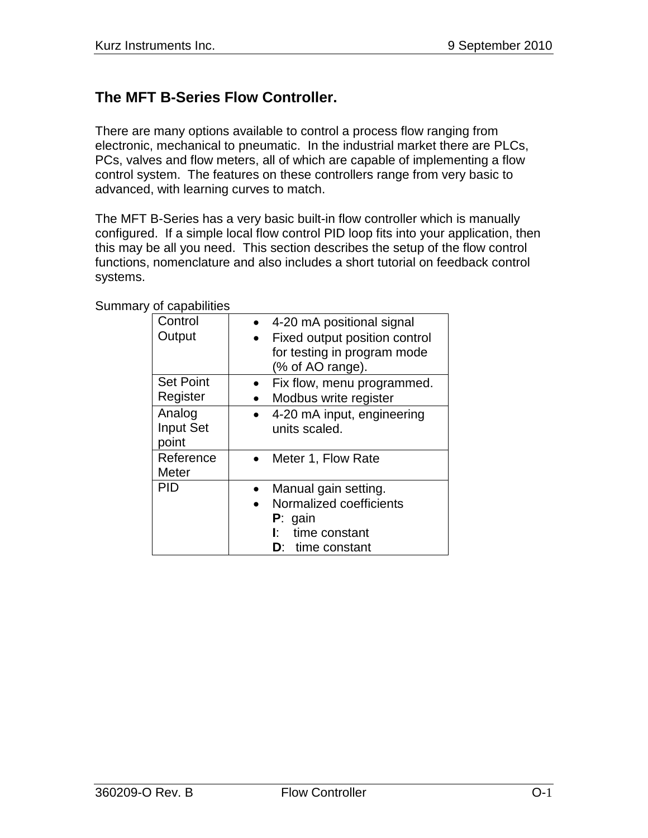# **The MFT B-Series Flow Controller.**

There are many options available to control a process flow ranging from electronic, mechanical to pneumatic. In the industrial market there are PLCs, PCs, valves and flow meters, all of which are capable of implementing a flow control system. The features on these controllers range from very basic to advanced, with learning curves to match.

The MFT B-Series has a very basic built-in flow controller which is manually configured. If a simple local flow control PID loop fits into your application, then this may be all you need. This section describes the setup of the flow control functions, nomenclature and also includes a short tutorial on feedback control systems.

| Control          | 4-20 mA positional signal     |
|------------------|-------------------------------|
| Output           | Fixed output position control |
|                  | for testing in program mode   |
|                  | (% of AO range).              |
| <b>Set Point</b> | Fix flow, menu programmed.    |
| Register         | Modbus write register         |
| Analog           | 4-20 mA input, engineering    |
| <b>Input Set</b> | units scaled.                 |
| point            |                               |
| Reference        | Meter 1, Flow Rate            |
| Meter            |                               |
| PID              | Manual gain setting.          |
|                  | Normalized coefficients       |
|                  | $P:$ gain                     |
|                  | time constant<br>Ŀ.           |
|                  | <b>D</b> : time constant      |

Summary of capabilities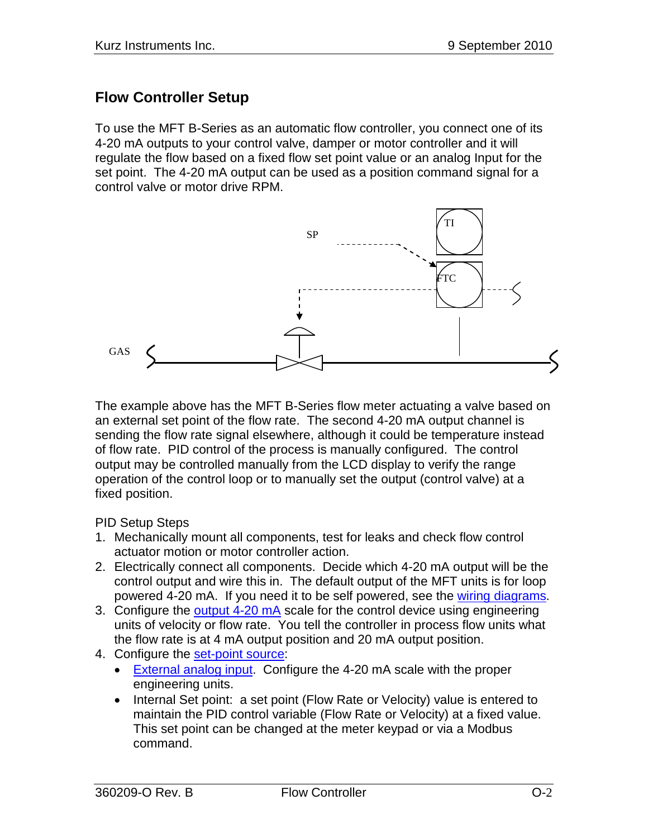### **Flow Controller Setup**

To use the MFT B-Series as an automatic flow controller, you connect one of its 4-20 mA outputs to your control valve, damper or motor controller and it will regulate the flow based on a fixed flow set point value or an analog Input for the set point. The 4-20 mA output can be used as a position command signal for a control valve or motor drive RPM.



The example above has the MFT B-Series flow meter actuating a valve based on an external set point of the flow rate. The second 4-20 mA output channel is sending the flow rate signal elsewhere, although it could be temperature instead of flow rate. PID control of the process is manually configured. The control output may be controlled manually from the LCD display to verify the range operation of the control loop or to manually set the output (control valve) at a fixed position.

#### PID Setup Steps

- 1. Mechanically mount all components, test for leaks and check flow control actuator motion or motor controller action.
- 2. Electrically connect all components. Decide which 4-20 mA output will be the control output and wire this in. The default output of the MFT units is for loop powered 4-20 mA. If you need it to be self powered, see the wiring diagrams.
- 3. Configure the output 4-20 mA scale for the control device using engineering units of velocity or flow rate. You tell the controller in process flow units what the flow rate is at 4 mA output position and 20 mA output position.
- 4. Configure the [set-point source:](#page-2-0)
	- [External analog input.](#page-5-0) Configure the 4-20 mA scale with the proper engineering units.
	- Internal Set point: a set point (Flow Rate or Velocity) value is entered to maintain the PID control variable (Flow Rate or Velocity) at a fixed value. This set point can be changed at the meter keypad or via a Modbus command.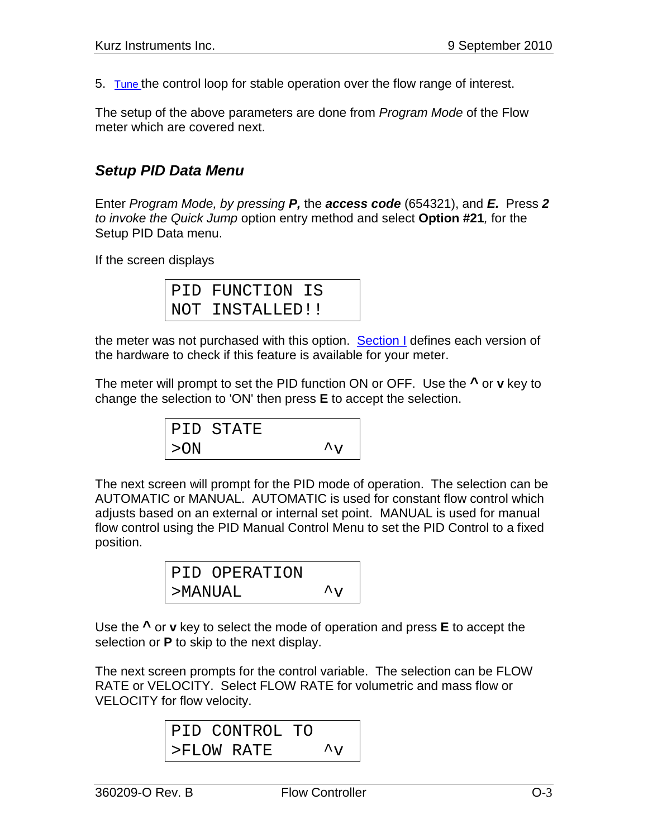5. [Tune t](#page-9-0)he control loop for stable operation over the flow range of interest.

The setup of the above parameters are done from *Program Mode* of the Flow meter which are covered next.

# <span id="page-2-0"></span>*Setup PID Data Menu*

Enter *Program Mode, by pressing P,* the *access code* (654321), and *E.* Press *2 to invoke the Quick Jump* option entry method and select **Option #21***,* for the Setup PID Data menu.

If the screen displays

| PID FUNCTION IS |  |
|-----------------|--|
| NOT INSTALLED!! |  |

the meter was not purchased with this option. Section I defines each version of the hardware to check if this feature is available for your meter.

The meter will prompt to set the PID function ON or OFF. Use the **^** or **v** key to change the selection to 'ON' then press **E** to accept the selection.

$$
\begin{array}{cc}\n\text{PID STATE} \\
\text{>ON} \\
\end{array} \qquad \qquad \begin{array}{c}\n\gamma \\
\gamma\n\end{array}
$$

The next screen will prompt for the PID mode of operation. The selection can be AUTOMATIC or MANUAL. AUTOMATIC is used for constant flow control which adjusts based on an external or internal set point. MANUAL is used for manual flow control using the PID Manual Control Menu to set the PID Control to a fixed position.

|         | PID OPERATION |                      |
|---------|---------------|----------------------|
| >MANUAL |               | $\mathcal{L}_{\tau}$ |

Use the **^** or **v** key to select the mode of operation and press **E** to accept the selection or **P** to skip to the next display.

The next screen prompts for the control variable. The selection can be FLOW RATE or VELOCITY. Select FLOW RATE for volumetric and mass flow or VELOCITY for flow velocity.

```
PID CONTROL TO
>FLOW RATE
```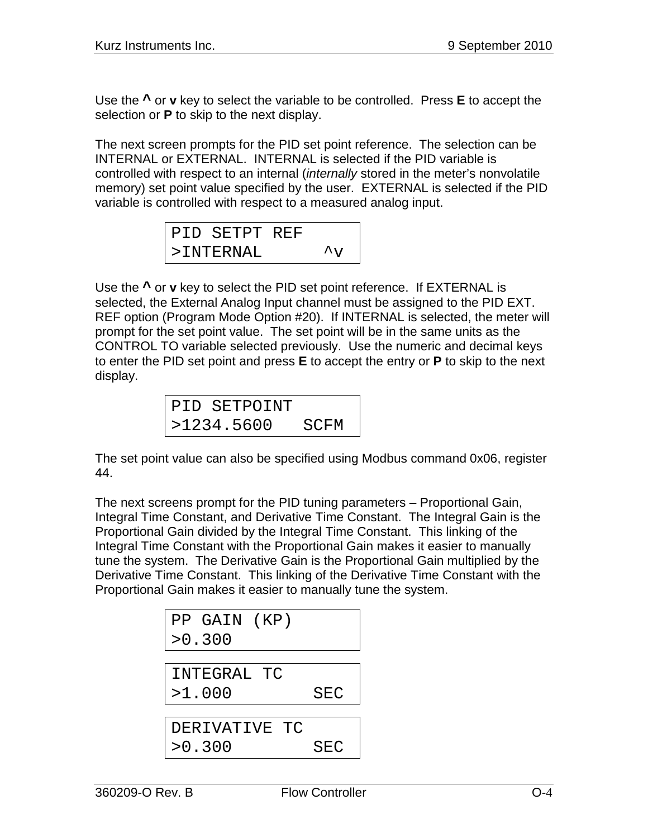Use the **^** or **v** key to select the variable to be controlled. Press **E** to accept the selection or **P** to skip to the next display.

The next screen prompts for the PID set point reference. The selection can be INTERNAL or EXTERNAL. INTERNAL is selected if the PID variable is controlled with respect to an internal (*internally* stored in the meter's nonvolatile memory) set point value specified by the user. EXTERNAL is selected if the PID variable is controlled with respect to a measured analog input.

| PID SETPT REF |                                      |
|---------------|--------------------------------------|
| $>$ TNTERNAL  | $\mathbf{A}_{\mathbf{X}\mathcal{F}}$ |

Use the **^** or **v** key to select the PID set point reference. If EXTERNAL is selected, the External Analog Input channel must be assigned to the PID EXT. REF option (Program Mode Option #20). If INTERNAL is selected, the meter will prompt for the set point value. The set point will be in the same units as the CONTROL TO variable selected previously. Use the numeric and decimal keys to enter the PID set point and press **E** to accept the entry or **P** to skip to the next display.

| PID SETPOINT |      |
|--------------|------|
| >1234.5600   | SCFM |

The set point value can also be specified using Modbus command 0x06, register 44.

The next screens prompt for the PID tuning parameters – Proportional Gain, Integral Time Constant, and Derivative Time Constant. The Integral Gain is the Proportional Gain divided by the Integral Time Constant. This linking of the Integral Time Constant with the Proportional Gain makes it easier to manually tune the system. The Derivative Gain is the Proportional Gain multiplied by the Derivative Time Constant. This linking of the Derivative Time Constant with the Proportional Gain makes it easier to manually tune the system.

| PP GAIN (KP)  |     |
|---------------|-----|
| >0.300        |     |
|               |     |
| INTEGRAL TC   |     |
| >1.000        | SEC |
|               |     |
| DERIVATIVE TC |     |
| >0.300        | SEC |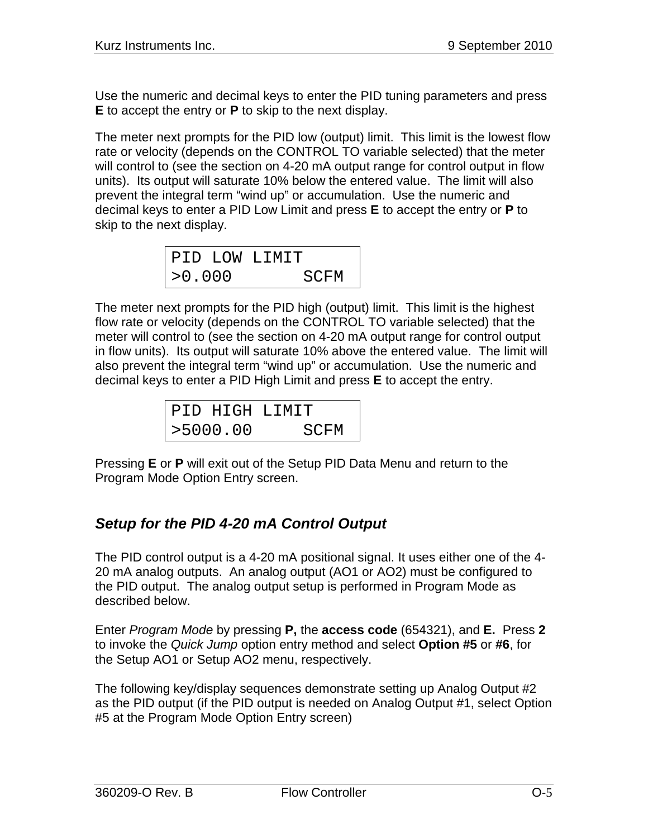Use the numeric and decimal keys to enter the PID tuning parameters and press **E** to accept the entry or **P** to skip to the next display.

The meter next prompts for the PID low (output) limit. This limit is the lowest flow rate or velocity (depends on the CONTROL TO variable selected) that the meter will control to (see the section on 4-20 mA output range for control output in flow units). Its output will saturate 10% below the entered value. The limit will also prevent the integral term "wind up" or accumulation. Use the numeric and decimal keys to enter a PID Low Limit and press **E** to accept the entry or **P** to skip to the next display.

| PID LOW LIMIT |      |
|---------------|------|
| >0.000        | SCFM |

The meter next prompts for the PID high (output) limit. This limit is the highest flow rate or velocity (depends on the CONTROL TO variable selected) that the meter will control to (see the section on 4-20 mA output range for control output in flow units). Its output will saturate 10% above the entered value. The limit will also prevent the integral term "wind up" or accumulation. Use the numeric and decimal keys to enter a PID High Limit and press **E** to accept the entry.

|          | PID HIGH LIMIT |
|----------|----------------|
| >5000.00 | SCFM           |

Pressing **E** or **P** will exit out of the Setup PID Data Menu and return to the Program Mode Option Entry screen.

# *Setup for the PID 4-20 mA Control Output*

The PID control output is a 4-20 mA positional signal. It uses either one of the 4- 20 mA analog outputs. An analog output (AO1 or AO2) must be configured to the PID output. The analog output setup is performed in Program Mode as described below.

Enter *Program Mode* by pressing **P,** the **access code** (654321), and **E.** Press **2** to invoke the *Quick Jump* option entry method and select **Option #5** or **#6**, for the Setup AO1 or Setup AO2 menu, respectively.

The following key/display sequences demonstrate setting up Analog Output #2 as the PID output (if the PID output is needed on Analog Output #1, select Option #5 at the Program Mode Option Entry screen)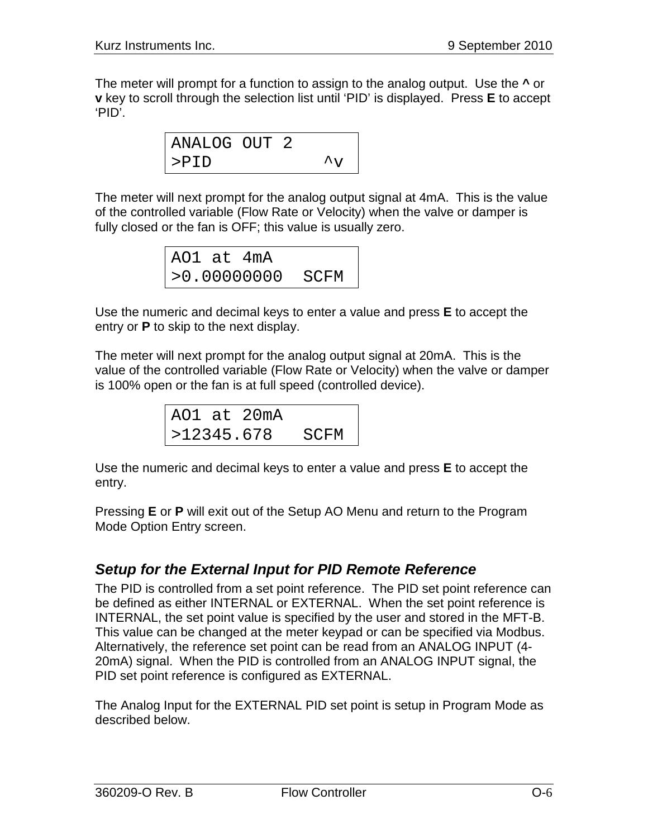The meter will prompt for a function to assign to the analog output. Use the **^** or **v** key to scroll through the selection list until 'PID' is displayed. Press **E** to accept 'PID'.

> ANALOG OUT 2 >PID ^v

The meter will next prompt for the analog output signal at 4mA. This is the value of the controlled variable (Flow Rate or Velocity) when the valve or damper is fully closed or the fan is OFF; this value is usually zero.

| AO1 at 4mA |                    |  |
|------------|--------------------|--|
|            | $>0.00000000$ SCFM |  |

Use the numeric and decimal keys to enter a value and press **E** to accept the entry or **P** to skip to the next display.

The meter will next prompt for the analog output signal at 20mA. This is the value of the controlled variable (Flow Rate or Velocity) when the valve or damper is 100% open or the fan is at full speed (controlled device).

|            | AO1 at 20mA |      |
|------------|-------------|------|
| >12345.678 |             | SCFM |

Use the numeric and decimal keys to enter a value and press **E** to accept the entry.

Pressing **E** or **P** will exit out of the Setup AO Menu and return to the Program Mode Option Entry screen.

# <span id="page-5-0"></span>*Setup for the External Input for PID Remote Reference*

The PID is controlled from a set point reference. The PID set point reference can be defined as either INTERNAL or EXTERNAL. When the set point reference is INTERNAL, the set point value is specified by the user and stored in the MFT-B. This value can be changed at the meter keypad or can be specified via Modbus. Alternatively, the reference set point can be read from an ANALOG INPUT (4- 20mA) signal. When the PID is controlled from an ANALOG INPUT signal, the PID set point reference is configured as EXTERNAL.

The Analog Input for the EXTERNAL PID set point is setup in Program Mode as described below.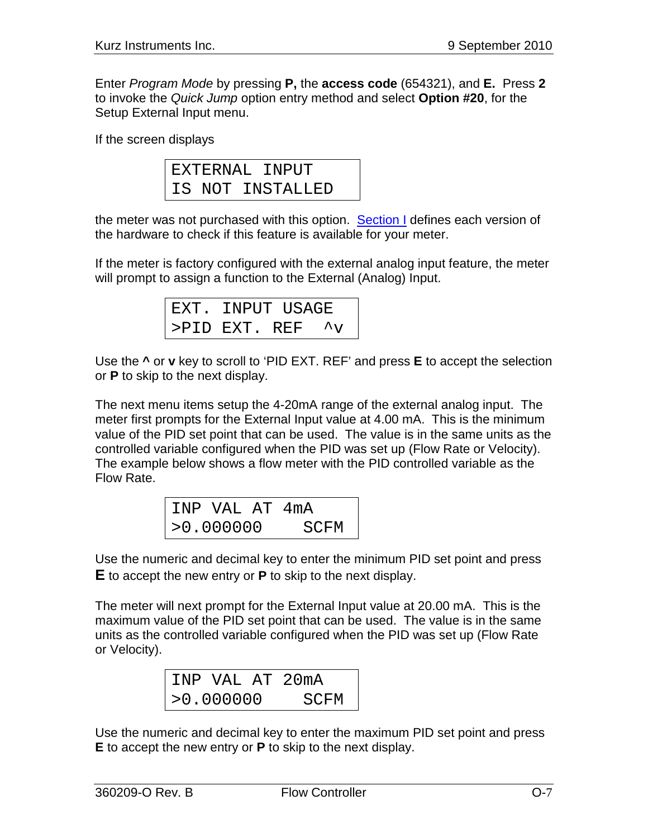Enter *Program Mode* by pressing **P,** the **access code** (654321), and **E.** Press **2** to invoke the *Quick Jump* option entry method and select **Option #20**, for the Setup External Input menu.

If the screen displays

|  | EXTERNAL INPUT   |
|--|------------------|
|  | IS NOT INSTALLED |

the meter was not purchased with this option. Section I defines each version of the hardware to check if this feature is available for your meter.

If the meter is factory configured with the external analog input feature, the meter will prompt to assign a function to the External (Analog) Input.

| EXT. INPUT USAGE       |  |  |
|------------------------|--|--|
| >PID EXT. REF $\gamma$ |  |  |

Use the **^** or **v** key to scroll to 'PID EXT. REF' and press **E** to accept the selection or **P** to skip to the next display.

The next menu items setup the 4-20mA range of the external analog input. The meter first prompts for the External Input value at 4.00 mA. This is the minimum value of the PID set point that can be used. The value is in the same units as the controlled variable configured when the PID was set up (Flow Rate or Velocity). The example below shows a flow meter with the PID controlled variable as the Flow Rate.

|           | INP VAL AT 4mA |      |  |
|-----------|----------------|------|--|
| >0.000000 |                | SCFM |  |

Use the numeric and decimal key to enter the minimum PID set point and press **E** to accept the new entry or **P** to skip to the next display.

The meter will next prompt for the External Input value at 20.00 mA. This is the maximum value of the PID set point that can be used. The value is in the same units as the controlled variable configured when the PID was set up (Flow Rate or Velocity).

|           |  |      | INP VAL AT 20mA |
|-----------|--|------|-----------------|
| >0.000000 |  | SCFM |                 |

Use the numeric and decimal key to enter the maximum PID set point and press **E** to accept the new entry or **P** to skip to the next display.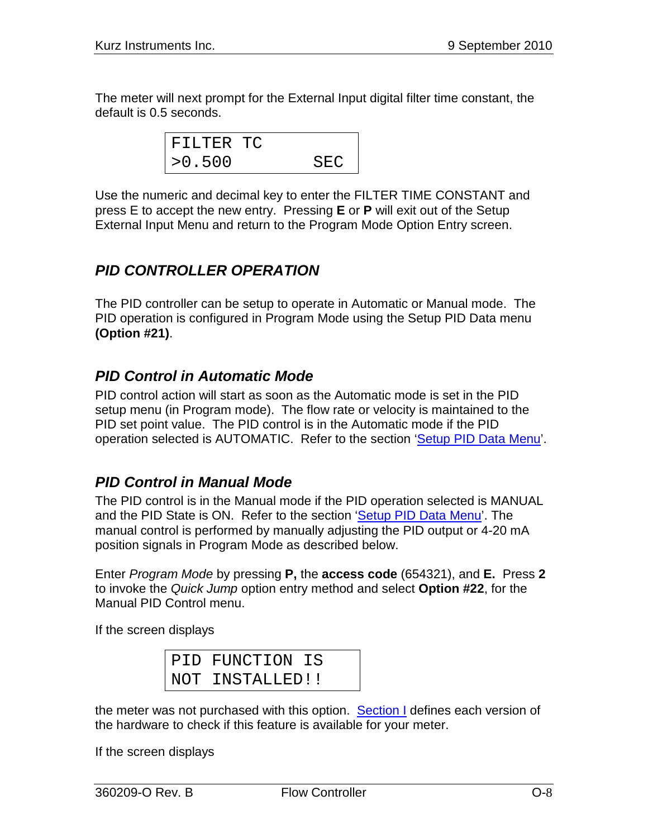The meter will next prompt for the External Input digital filter time constant, the default is 0.5 seconds.

| FILTER TC |      |
|-----------|------|
| >0.500    | SEC. |

Use the numeric and decimal key to enter the FILTER TIME CONSTANT and press E to accept the new entry. Pressing **E** or **P** will exit out of the Setup External Input Menu and return to the Program Mode Option Entry screen.

# *PID CONTROLLER OPERATION*

The PID controller can be setup to operate in Automatic or Manual mode. The PID operation is configured in Program Mode using the Setup PID Data menu **(Option #21)**.

#### *PID Control in Automatic Mode*

PID control action will start as soon as the Automatic mode is set in the PID setup menu (in Program mode). The flow rate or velocity is maintained to the PID set point value. The PID control is in the Automatic mode if the PID operation selected is AUTOMATIC. Refer to the section 'Setup [PID Data](#page-2-0) Menu'.

#### *PID Control in Manual Mode*

The PID control is in the Manual mode if the PID operation selected is MANUAL and the PID State is ON. Refer to the section 'Setup [PID Data](#page-2-0) Menu'. The manual control is performed by manually adjusting the PID output or 4-20 mA position signals in Program Mode as described below.

Enter *Program Mode* by pressing **P,** the **access code** (654321), and **E.** Press **2** to invoke the *Quick Jump* option entry method and select **Option #22**, for the Manual PID Control menu.

If the screen displays

PID FUNCTION IS NOT INSTALLED!!

the meter was not purchased with this option. Section I defines each version of the hardware to check if this feature is available for your meter.

If the screen displays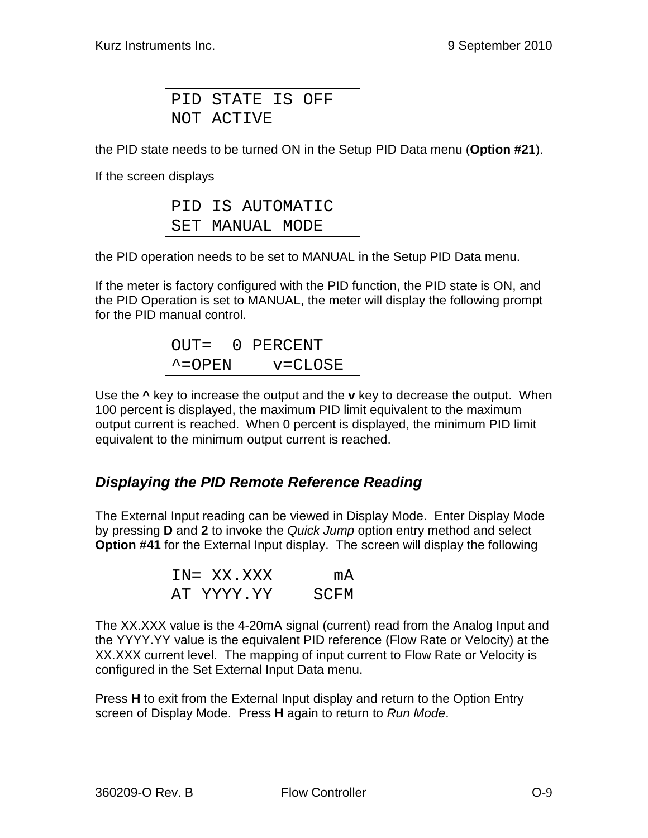PID STATE IS OFF NOT ACTIVE

the PID state needs to be turned ON in the Setup PID Data menu (**Option #21**).

If the screen displays

|  | PID IS AUTOMATIC |  |
|--|------------------|--|
|  | SET MANUAL MODE  |  |

the PID operation needs to be set to MANUAL in the Setup PID Data menu.

If the meter is factory configured with the PID function, the PID state is ON, and the PID Operation is set to MANUAL, the meter will display the following prompt for the PID manual control.

OUT= 0 PERCENT ^=OPEN v=CLOSE

Use the **^** key to increase the output and the **v** key to decrease the output. When 100 percent is displayed, the maximum PID limit equivalent to the maximum output current is reached. When 0 percent is displayed, the minimum PID limit equivalent to the minimum output current is reached.

# *Displaying the PID Remote Reference Reading*

The External Input reading can be viewed in Display Mode. Enter Display Mode by pressing **D** and **2** to invoke the *Quick Jump* option entry method and select **Option #41** for the External Input display. The screen will display the following

| $IN = XX. XXX$  |       |
|-----------------|-------|
| YYYY.YY<br>A'I' | SCH'M |

The XX.XXX value is the 4-20mA signal (current) read from the Analog Input and the YYYY.YY value is the equivalent PID reference (Flow Rate or Velocity) at the XX.XXX current level. The mapping of input current to Flow Rate or Velocity is configured in the Set External Input Data menu.

Press **H** to exit from the External Input display and return to the Option Entry screen of Display Mode. Press **H** again to return to *Run Mode*.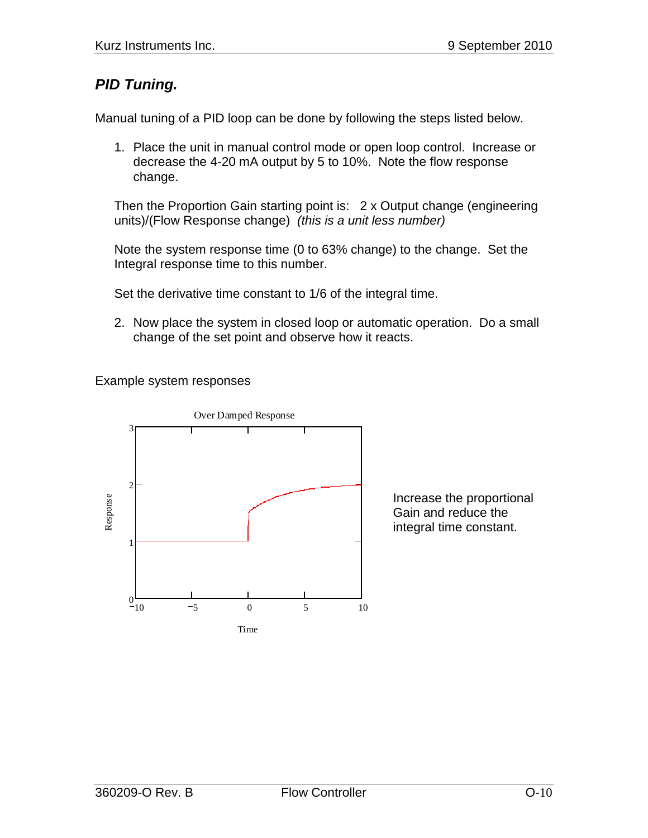# <span id="page-9-0"></span>*PID Tuning.*

Manual tuning of a PID loop can be done by following the steps listed below.

1. Place the unit in manual control mode or open loop control. Increase or decrease the 4-20 mA output by 5 to 10%. Note the flow response change.

Then the Proportion Gain starting point is: 2 x Output change (engineering units)/(Flow Response change) *(this is a unit less number)*

Note the system response time (0 to 63% change) to the change. Set the Integral response time to this number.

Set the derivative time constant to 1/6 of the integral time.

2. Now place the system in closed loop or automatic operation. Do a small change of the set point and observe how it reacts.

Example system responses



Increase the proportional Gain and reduce the integral time constant.